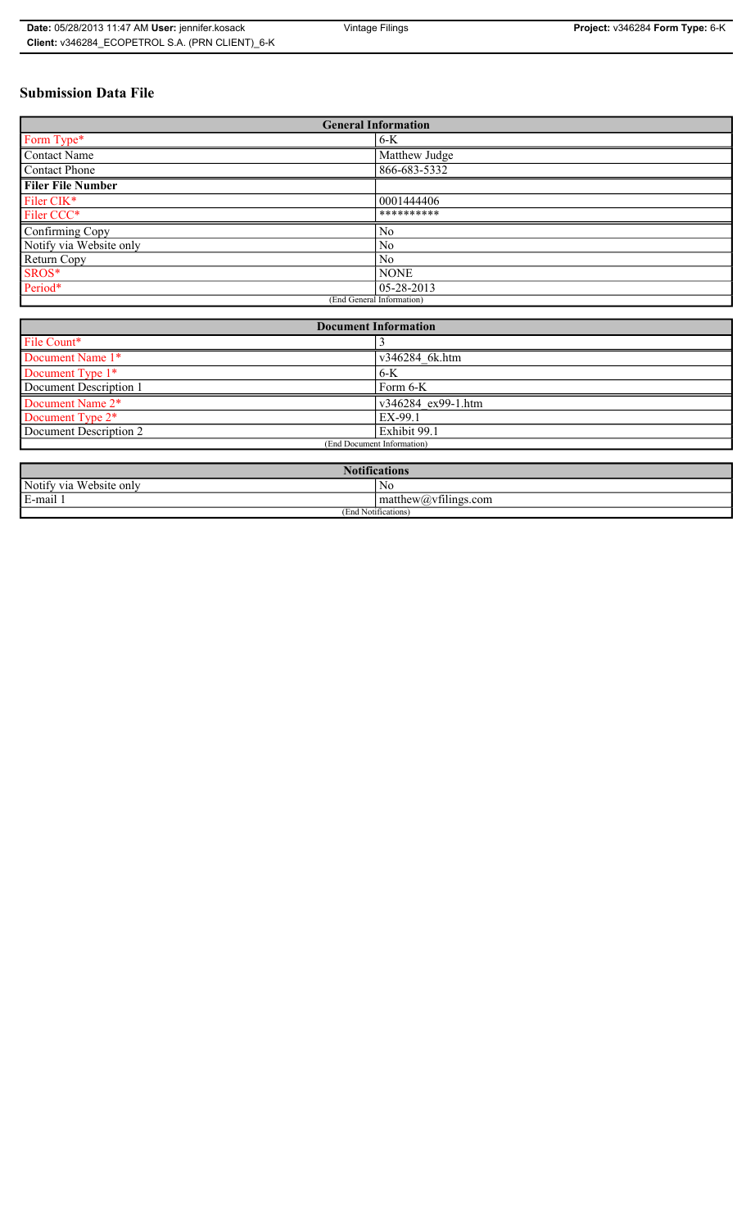## **Submission Data File**

| <b>General Information</b> |                  |
|----------------------------|------------------|
| Form Type*                 | $6-K$            |
| Contact Name               | Matthew Judge    |
| Contact Phone              | 866-683-5332     |
| <b>Filer File Number</b>   |                  |
| Filer CIK*                 | 0001444406       |
| Filer CCC*                 | **********       |
| Confirming Copy            | N <sub>0</sub>   |
| Notify via Website only    | No               |
| Return Copy                | No               |
| SROS*                      | <b>NONE</b>      |
| Period*                    | $05 - 28 - 2013$ |
| (End General Information)  |                  |

| <b>Document Information</b> |                    |
|-----------------------------|--------------------|
| File Count*                 |                    |
| Document Name 1*            | v346284 6k.htm     |
| Document Type 1*            | $6-K$              |
| Document Description 1      | Form 6-K           |
| Document Name 2*            | v346284 ex99-1.htm |
| Document Type 2*            | EX-99.1            |
| Document Description 2      | Exhibit 99.1       |
| (End Document Information)  |                    |
|                             |                    |

| <b>Notifications</b>    |                                               |
|-------------------------|-----------------------------------------------|
| Notify via Website only | No                                            |
| E-mail<br>$\cdots$      | $\sim$ 1.<br>matthew( <i>a</i> ) vtilings.com |
| (End Notifications)     |                                               |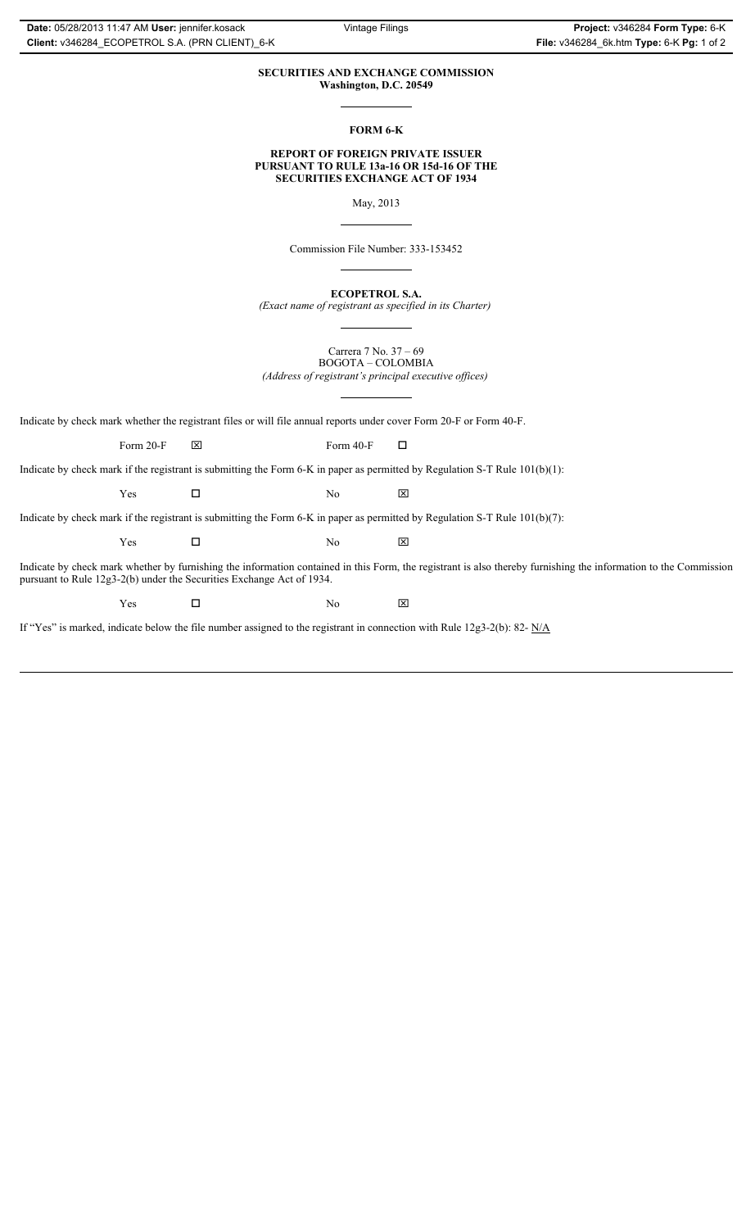### **SECURITIES AND EXCHANGE COMMISSION Washington, D.C. 20549**

**FORM 6-K**

### **REPORT OF FOREIGN PRIVATE ISSUER PURSUANT TO RULE 13a-16 OR 15d-16 OF THE SECURITIES EXCHANGE ACT OF 1934**

May, 2013

Commission File Number: 333-153452

**ECOPETROL S.A.** *(Exact name of registrant as specified in its Charter)*

Carrera 7 No. 37 – 69 BOGOTA – COLOMBIA *(Address of registrant's principal executive offices)*

Indicate by check mark whether the registrant files or will file annual reports under cover Form 20-F or Form 40-F.

Form 20-F  $\boxtimes$  Form 40-F  $\Box$ 

Indicate by check mark if the registrant is submitting the Form 6-K in paper as permitted by Regulation S-T Rule 101(b)(1):

 $Yes$   $\Box$  No  $X$ 

Indicate by check mark if the registrant is submitting the Form 6-K in paper as permitted by Regulation S-T Rule 101(b)(7):

 $Yes$   $\Box$  No  $X$ 

Indicate by check mark whether by furnishing the information contained in this Form, the registrant is also thereby furnishing the information to the Commission pursuant to Rule 12g3-2(b) under the Securities Exchange Act of 1934.

 $Yes$   $\square$  No  $X$ 

If "Yes" is marked, indicate below the file number assigned to the registrant in connection with Rule 12g3-2(b): 82- N/A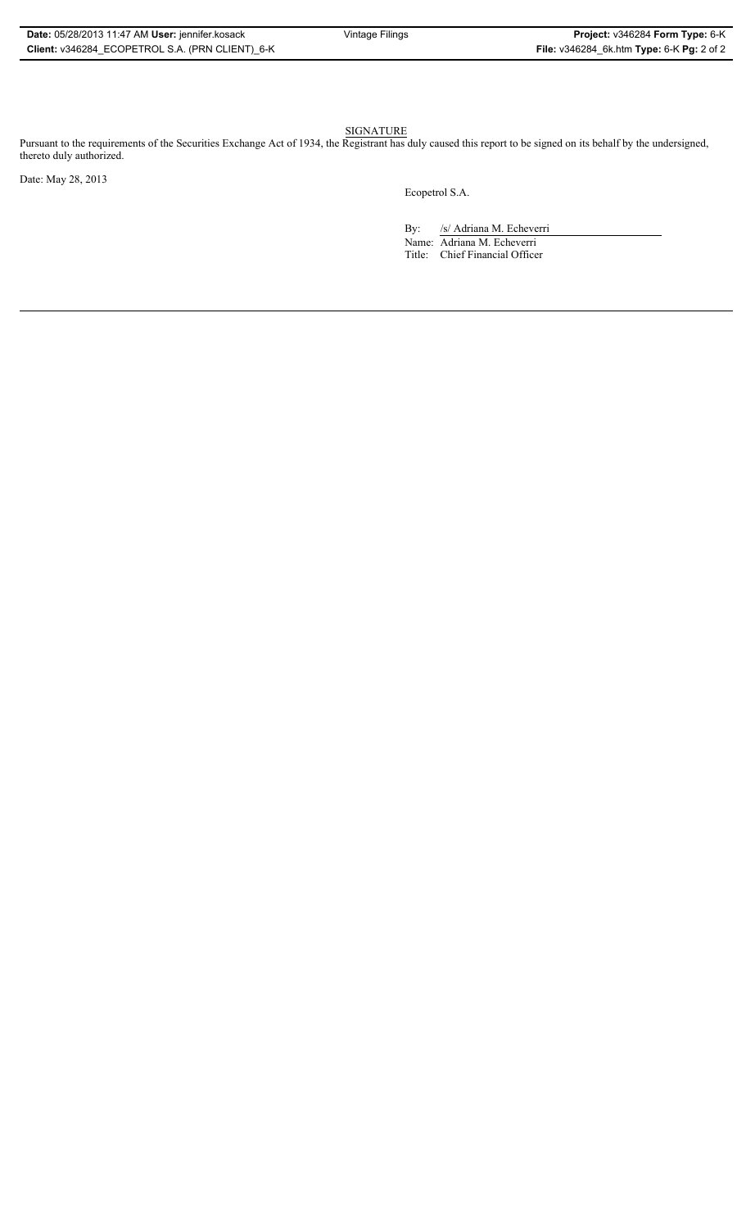#### SIGNATURE

Pursuant to the requirements of the Securities Exchange Act of 1934, the Registrant has duly caused this report to be signed on its behalf by the undersigned, thereto duly authorized.

Date: May 28, 2013

Ecopetrol S.A.

By: /s/ Adriana M. Echeverri Name: Adriana M. Echeverri Title: Chief Financial Officer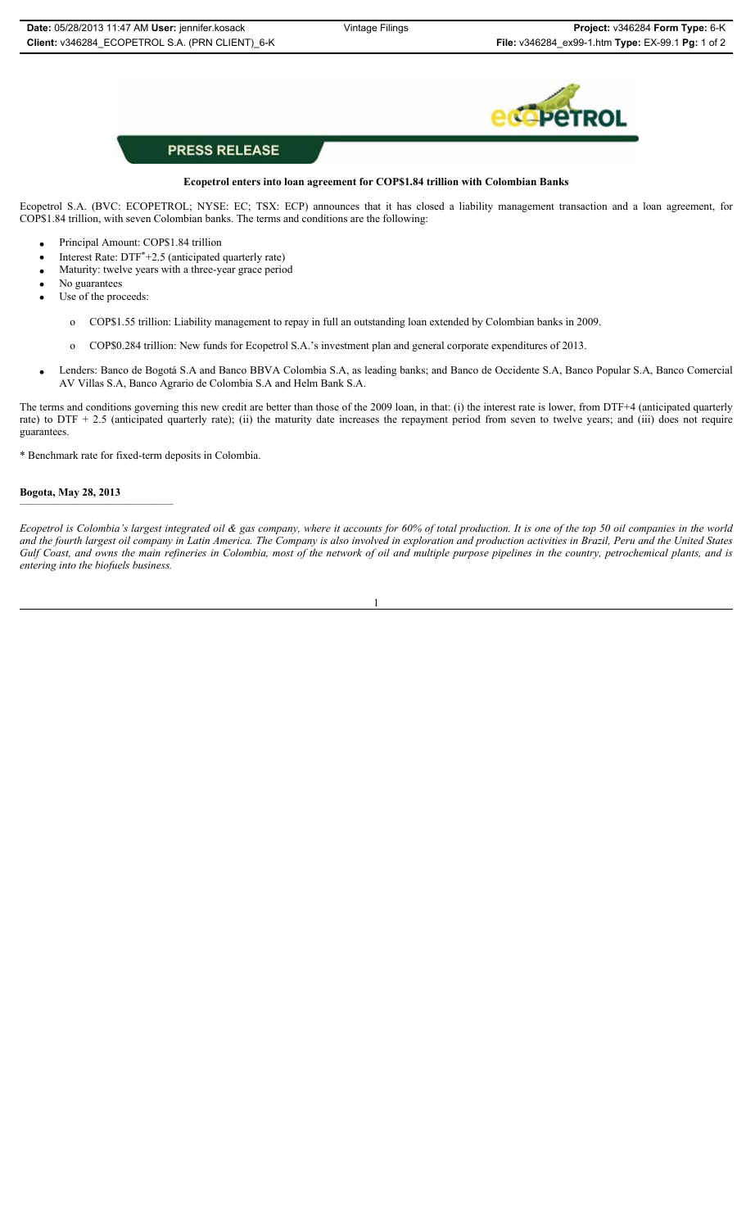

## **PRESS RELEASE**

## **Ecopetrol enters into loan agreement for COP\$1.84 trillion with Colombian Banks**

Ecopetrol S.A. (BVC: ECOPETROL; NYSE: EC; TSX: ECP) announces that it has closed a liability management transaction and a loan agreement, for COP\$1.84 trillion, with seven Colombian banks. The terms and conditions are the following:

- Principal Amount: COP\$1.84 trillion
- Interest Rate: DTF<sup>\*+2.5</sup> (anticipated quarterly rate)
- Maturity: twelve years with a three-year grace period
- No guarantees
- Use of the proceeds:
	- o COP\$1.55 trillion: Liability management to repay in full an outstanding loan extended by Colombian banks in 2009.
	- o COP\$0.284 trillion: New funds for Ecopetrol S.A.'s investment plan and general corporate expenditures of 2013.
- x Lenders: Banco de Bogotá S.A and Banco BBVA Colombia S.A, as leading banks; and Banco de Occidente S.A, Banco Popular S.A, Banco Comercial AV Villas S.A, Banco Agrario de Colombia S.A and Helm Bank S.A.

The terms and conditions governing this new credit are better than those of the 2009 loan, in that: (i) the interest rate is lower, from DTF+4 (anticipated quarterly rate) to DTF + 2.5 (anticipated quarterly rate); (ii) the maturity date increases the repayment period from seven to twelve years; and (iii) does not require guarantees.

\* Benchmark rate for fixed-term deposits in Colombia.

#### **Bogota, May 28, 2013**  ——————————————

*Ecopetrol is Colombia's largest integrated oil & gas company, where it accounts for 60% of total production. It is one of the top 50 oil companies in the world and the fourth largest oil company in Latin America. The Company is also involved in exploration and production activities in Brazil, Peru and the United States Gulf Coast, and owns the main refineries in Colombia, most of the network of oil and multiple purpose pipelines in the country, petrochemical plants, and is entering into the biofuels business.*